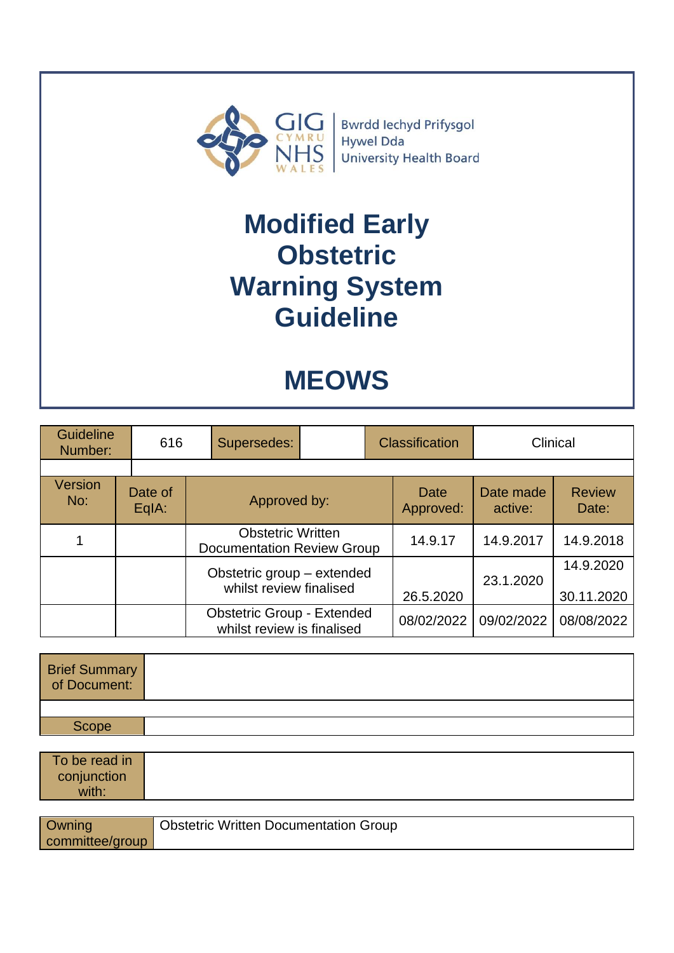

Bwrdd Iechyd Prifysgol Hywel Dda **University Health Board** 

## **Modified Early Obstetric Warning System Guideline**

# **MEOWS**

| <b>Guideline</b><br>Number: |  | 616              |  | Supersedes:                                                     |  | <b>Classification</b> |                   | Clinical             |                         |
|-----------------------------|--|------------------|--|-----------------------------------------------------------------|--|-----------------------|-------------------|----------------------|-------------------------|
|                             |  |                  |  |                                                                 |  |                       |                   |                      |                         |
| Version<br>No:              |  | Date of<br>EqIA: |  | Approved by:                                                    |  |                       | Date<br>Approved: | Date made<br>active: | <b>Review</b><br>Date:  |
|                             |  |                  |  | <b>Obstetric Written</b><br><b>Documentation Review Group</b>   |  |                       | 14.9.17           | 14.9.2017            | 14.9.2018               |
|                             |  |                  |  | Obstetric group - extended<br>whilst review finalised           |  |                       | 26.5.2020         | 23.1.2020            | 14.9.2020<br>30.11.2020 |
|                             |  |                  |  | <b>Obstetric Group - Extended</b><br>whilst review is finalised |  |                       | 08/02/2022        | 09/02/2022           | 08/08/2022              |

| Brief Summary<br>of Document: |  |
|-------------------------------|--|
|                               |  |
| Scope                         |  |

| To be read in<br>conjunction<br>with: |                                              |
|---------------------------------------|----------------------------------------------|
| <b>Owning</b><br>committee/group      | <b>Obstetric Written Documentation Group</b> |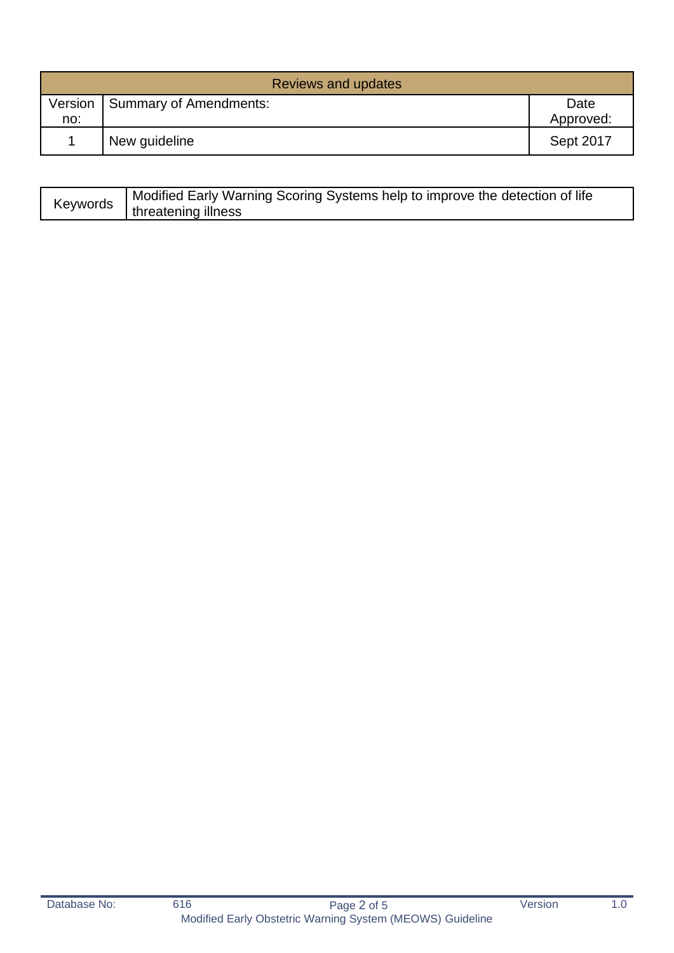| Reviews and updates |                        |                   |  |  |
|---------------------|------------------------|-------------------|--|--|
| Version<br>no:      | Summary of Amendments: | Date<br>Approved: |  |  |
|                     | New guideline          | Sept 2017         |  |  |

| Keywords | Modified Early Warning Scoring Systems help to improve the detection of life |
|----------|------------------------------------------------------------------------------|
|          | threatening illness                                                          |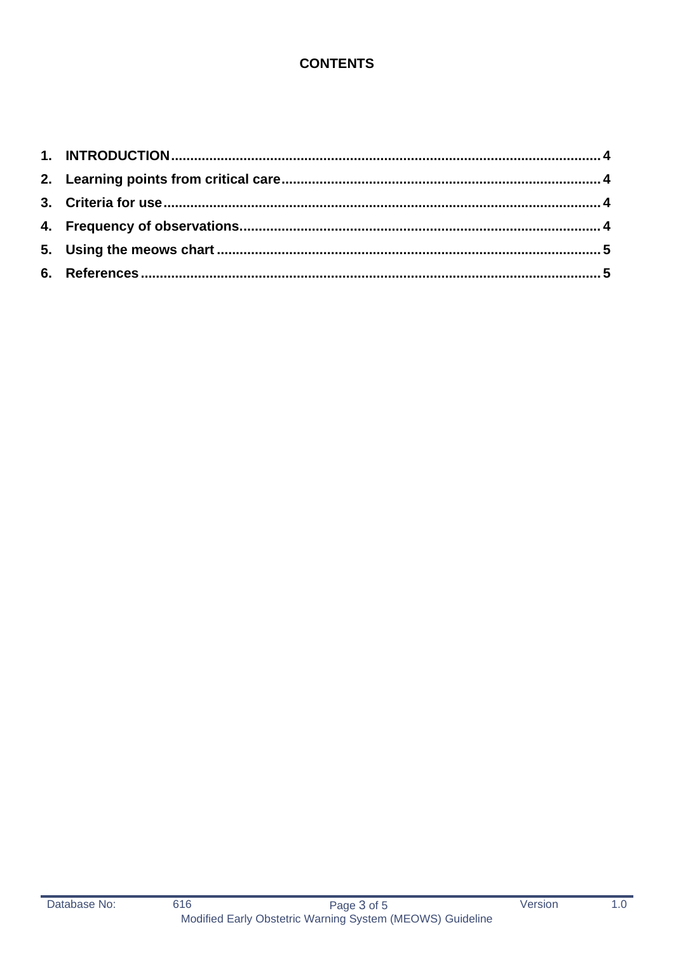## **CONTENTS**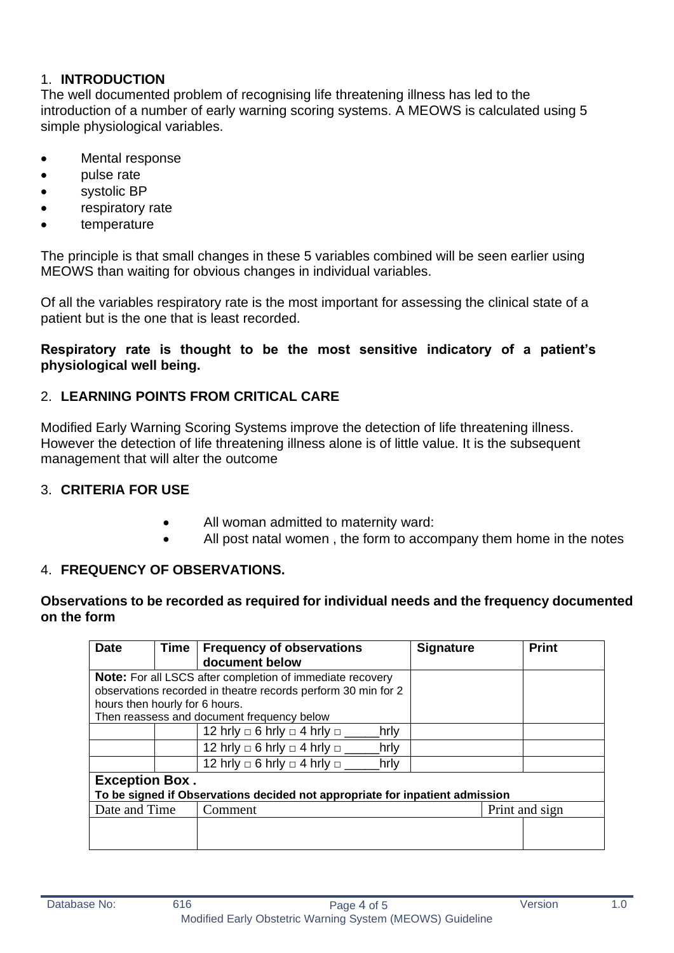### <span id="page-3-0"></span>1. **INTRODUCTION**

The well documented problem of recognising life threatening illness has led to the introduction of a number of early warning scoring systems. A MEOWS is calculated using 5 simple physiological variables.

- Mental response
- pulse rate
- systolic BP
- respiratory rate
- temperature

The principle is that small changes in these 5 variables combined will be seen earlier using MEOWS than waiting for obvious changes in individual variables.

Of all the variables respiratory rate is the most important for assessing the clinical state of a patient but is the one that is least recorded.

#### **Respiratory rate is thought to be the most sensitive indicatory of a patient's physiological well being.**

## <span id="page-3-1"></span>2. **LEARNING POINTS FROM CRITICAL CARE**

Modified Early Warning Scoring Systems improve the detection of life threatening illness. However the detection of life threatening illness alone is of little value. It is the subsequent management that will alter the outcome

### <span id="page-3-2"></span>3. **CRITERIA FOR USE**

- All woman admitted to maternity ward:
- All post natal women, the form to accompany them home in the notes

### <span id="page-3-3"></span>4. **FREQUENCY OF OBSERVATIONS.**

#### **Observations to be recorded as required for individual needs and the frequency documented on the form**

| <b>Date</b>                                                                  | Time | <b>Frequency of observations</b><br>document below               | <b>Signature</b> | <b>Print</b> |  |
|------------------------------------------------------------------------------|------|------------------------------------------------------------------|------------------|--------------|--|
|                                                                              |      | <b>Note:</b> For all LSCS after completion of immediate recovery |                  |              |  |
|                                                                              |      | observations recorded in theatre records perform 30 min for 2    |                  |              |  |
| hours then hourly for 6 hours.                                               |      |                                                                  |                  |              |  |
| Then reassess and document frequency below                                   |      |                                                                  |                  |              |  |
|                                                                              |      | 12 hrly $\Box$ 6 hrly $\Box$ 4 hrly $\Box$<br>hrly               |                  |              |  |
|                                                                              |      | 12 hrly $\Box$ 6 hrly $\Box$ 4 hrly $\Box$<br>hrly               |                  |              |  |
|                                                                              |      | 12 hrly $\Box$ 6 hrly $\Box$ 4 hrly $\Box$<br>hrly               |                  |              |  |
| <b>Exception Box.</b>                                                        |      |                                                                  |                  |              |  |
| To be signed if Observations decided not appropriate for inpatient admission |      |                                                                  |                  |              |  |
| Date and Time                                                                |      | Comment                                                          | Print and sign   |              |  |
|                                                                              |      |                                                                  |                  |              |  |
|                                                                              |      |                                                                  |                  |              |  |
|                                                                              |      |                                                                  |                  |              |  |